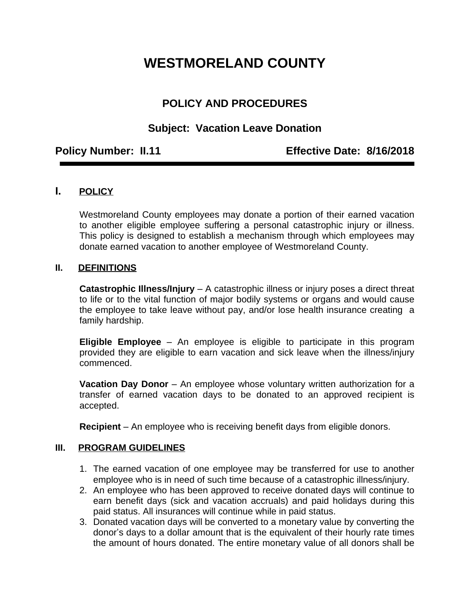# **WESTMORELAND COUNTY**

# **POLICY AND PROCEDURES**

## **Subject: Vacation Leave Donation**

**Policy Number: II.11 Effective Date: 8/16/2018**

### **I. POLICY**

Westmoreland County employees may donate a portion of their earned vacation to another eligible employee suffering a personal catastrophic injury or illness. This policy is designed to establish a mechanism through which employees may donate earned vacation to another employee of Westmoreland County.

#### **II. DEFINITIONS**

**Catastrophic Illness/Injury** – A catastrophic illness or injury poses a direct threat to life or to the vital function of major bodily systems or organs and would cause the employee to take leave without pay, and/or lose health insurance creating a family hardship.

**Eligible Employee** – An employee is eligible to participate in this program provided they are eligible to earn vacation and sick leave when the illness/injury commenced.

**Vacation Day Donor** – An employee whose voluntary written authorization for a transfer of earned vacation days to be donated to an approved recipient is accepted.

**Recipient** – An employee who is receiving benefit days from eligible donors.

#### **III. PROGRAM GUIDELINES**

- 1. The earned vacation of one employee may be transferred for use to another employee who is in need of such time because of a catastrophic illness/injury.
- 2. An employee who has been approved to receive donated days will continue to earn benefit days (sick and vacation accruals) and paid holidays during this paid status. All insurances will continue while in paid status.
- 3. Donated vacation days will be converted to a monetary value by converting the donor's days to a dollar amount that is the equivalent of their hourly rate times the amount of hours donated. The entire monetary value of all donors shall be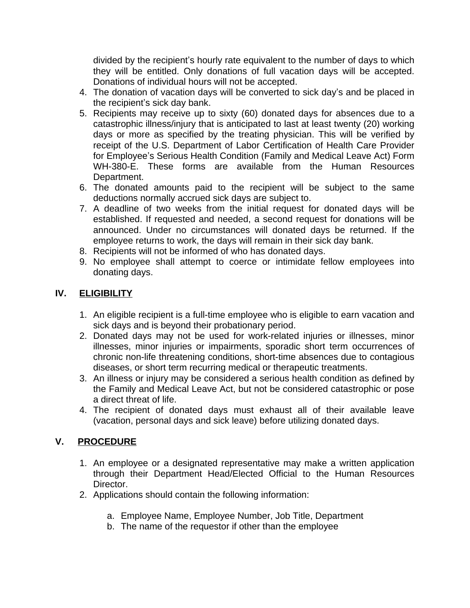divided by the recipient's hourly rate equivalent to the number of days to which they will be entitled. Only donations of full vacation days will be accepted. Donations of individual hours will not be accepted.

- 4. The donation of vacation days will be converted to sick day's and be placed in the recipient's sick day bank.
- 5. Recipients may receive up to sixty (60) donated days for absences due to a catastrophic illness/injury that is anticipated to last at least twenty (20) working days or more as specified by the treating physician. This will be verified by receipt of the U.S. Department of Labor Certification of Health Care Provider for Employee's Serious Health Condition (Family and Medical Leave Act) Form WH-380-E. These forms are available from the Human Resources Department.
- 6. The donated amounts paid to the recipient will be subject to the same deductions normally accrued sick days are subject to.
- 7. A deadline of two weeks from the initial request for donated days will be established. If requested and needed, a second request for donations will be announced. Under no circumstances will donated days be returned. If the employee returns to work, the days will remain in their sick day bank.
- 8. Recipients will not be informed of who has donated days.
- 9. No employee shall attempt to coerce or intimidate fellow employees into donating days.

#### **IV. ELIGIBILITY**

- 1. An eligible recipient is a full-time employee who is eligible to earn vacation and sick days and is beyond their probationary period.
- 2. Donated days may not be used for work-related injuries or illnesses, minor illnesses, minor injuries or impairments, sporadic short term occurrences of chronic non-life threatening conditions, short-time absences due to contagious diseases, or short term recurring medical or therapeutic treatments.
- 3. An illness or injury may be considered a serious health condition as defined by the Family and Medical Leave Act, but not be considered catastrophic or pose a direct threat of life.
- 4. The recipient of donated days must exhaust all of their available leave (vacation, personal days and sick leave) before utilizing donated days.

### **V. PROCEDURE**

- 1. An employee or a designated representative may make a written application through their Department Head/Elected Official to the Human Resources Director.
- 2. Applications should contain the following information:
	- a. Employee Name, Employee Number, Job Title, Department
	- b. The name of the requestor if other than the employee